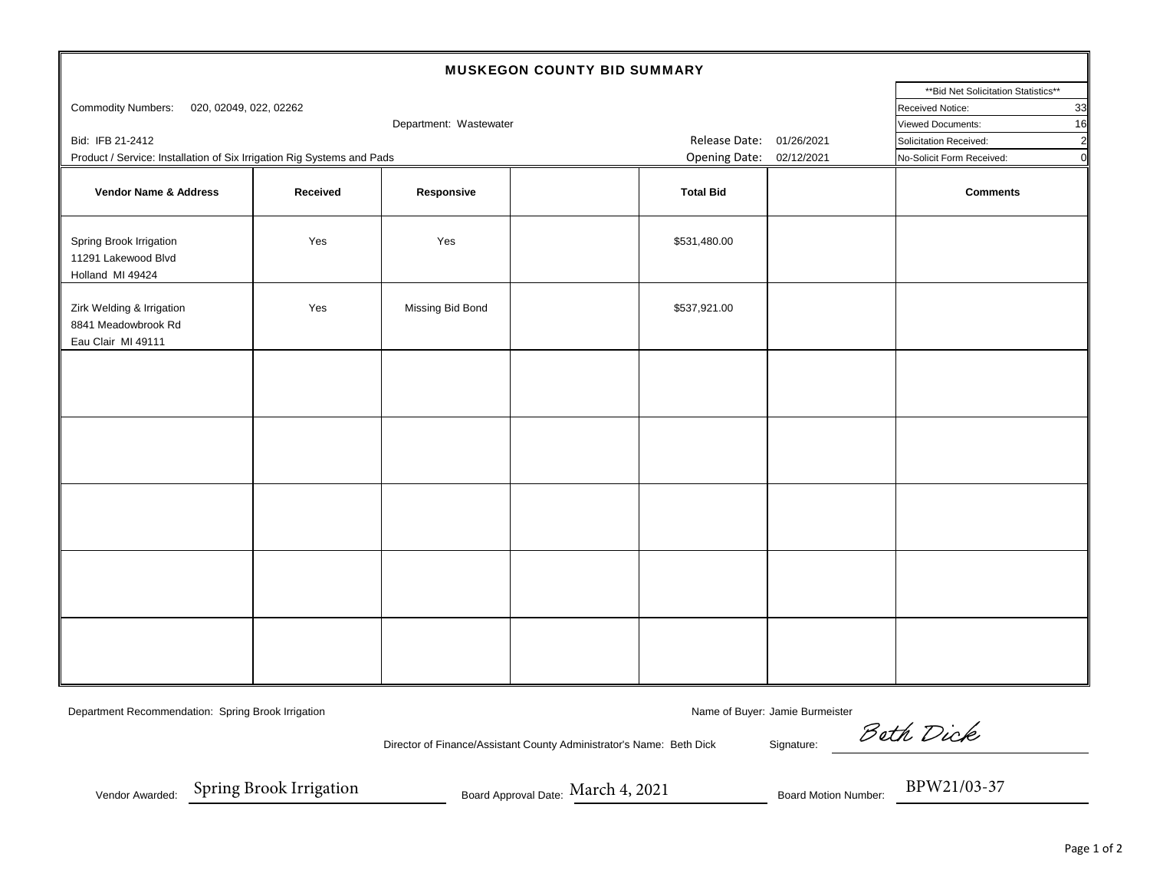| MUSKEGON COUNTY BID SUMMARY                                            |                          |                                      |                           |                  |                  |                 |  |  |  |  |  |
|------------------------------------------------------------------------|--------------------------|--------------------------------------|---------------------------|------------------|------------------|-----------------|--|--|--|--|--|
|                                                                        |                          | ** Bid Net Solicitation Statistics** |                           |                  |                  |                 |  |  |  |  |  |
| <b>Commodity Numbers:</b><br>020, 02049, 022, 02262                    |                          |                                      |                           |                  | Received Notice: | 33              |  |  |  |  |  |
|                                                                        |                          |                                      | Viewed Documents:         | 16               |                  |                 |  |  |  |  |  |
| Bid: IFB 21-2412                                                       | Release Date: 01/26/2021 |                                      | Solicitation Received:    | $\overline{2}$   |                  |                 |  |  |  |  |  |
| Product / Service: Installation of Six Irrigation Rig Systems and Pads | Opening Date: 02/12/2021 |                                      | No-Solicit Form Received: | $\overline{0}$   |                  |                 |  |  |  |  |  |
| Vendor Name & Address                                                  | Received                 | Responsive                           |                           | <b>Total Bid</b> |                  | <b>Comments</b> |  |  |  |  |  |
| Spring Brook Irrigation<br>11291 Lakewood Blvd<br>Holland MI 49424     | Yes                      | Yes                                  |                           | \$531,480.00     |                  |                 |  |  |  |  |  |
| Zirk Welding & Irrigation<br>8841 Meadowbrook Rd<br>Eau Clair MI 49111 | Yes                      | Missing Bid Bond                     |                           | \$537,921.00     |                  |                 |  |  |  |  |  |
|                                                                        |                          |                                      |                           |                  |                  |                 |  |  |  |  |  |
|                                                                        |                          |                                      |                           |                  |                  |                 |  |  |  |  |  |
|                                                                        |                          |                                      |                           |                  |                  |                 |  |  |  |  |  |
|                                                                        |                          |                                      |                           |                  |                  |                 |  |  |  |  |  |
|                                                                        |                          |                                      |                           |                  |                  |                 |  |  |  |  |  |
|                                                                        |                          |                                      |                           |                  |                  |                 |  |  |  |  |  |

Department Recommendation: Spring Brook Irrigation Name of Buyer: Jamie Burmeister Name of Buyer: Jamie Burmeister

Director of Finance/Assistant County Administrator's Name: Beth Dick Signature:

Beth Dick

Vendor Awarded:

Spring Brook Irrigation

Spring Brook Irrigation Board Approval Date: March 4, 2021 Board Motion Number: BPW21/03-37